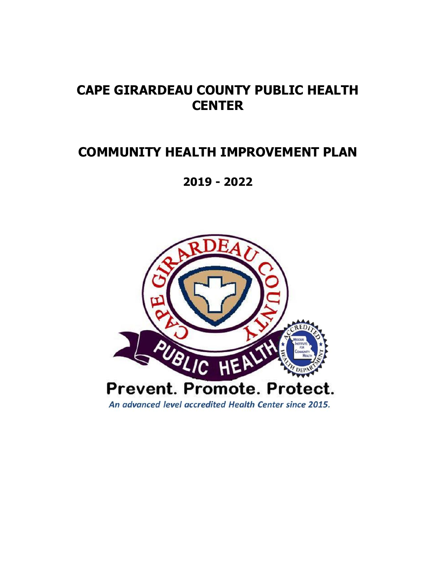# **CAPE GIRARDEAU COUNTY PUBLIC HEALTH CENTER**

# **COMMUNITY HEALTH IMPROVEMENT PLAN**

**2019 - 2022**

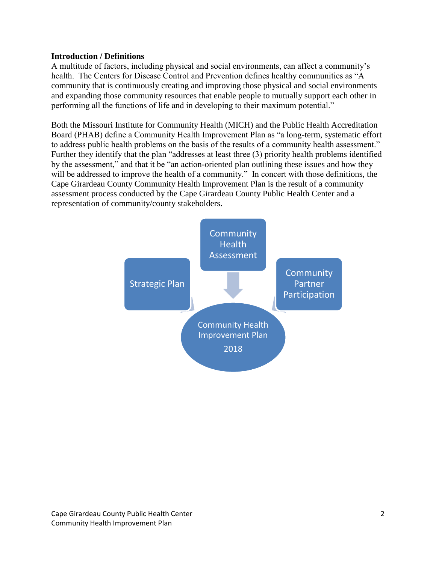#### **Introduction / Definitions**

A multitude of factors, including physical and social environments, can affect a community's health. The Centers for Disease Control and Prevention defines healthy communities as "A community that is continuously creating and improving those physical and social environments and expanding those community resources that enable people to mutually support each other in performing all the functions of life and in developing to their maximum potential."

Both the Missouri Institute for Community Health (MICH) and the Public Health Accreditation Board (PHAB) define a Community Health Improvement Plan as "a long-term, systematic effort to address public health problems on the basis of the results of a community health assessment." Further they identify that the plan "addresses at least three (3) priority health problems identified by the assessment," and that it be "an action-oriented plan outlining these issues and how they will be addressed to improve the health of a community." In concert with those definitions, the Cape Girardeau County Community Health Improvement Plan is the result of a community assessment process conducted by the Cape Girardeau County Public Health Center and a representation of community/county stakeholders.

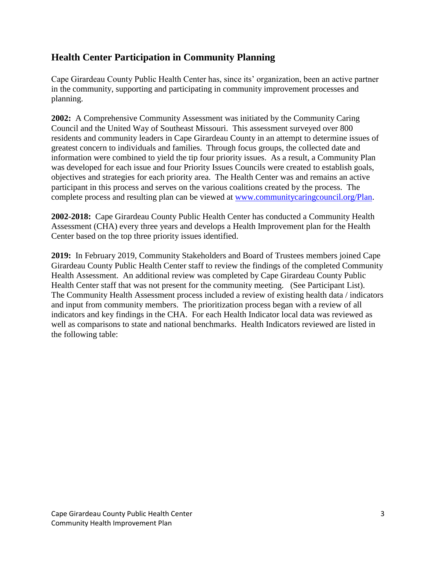# **Health Center Participation in Community Planning**

Cape Girardeau County Public Health Center has, since its' organization, been an active partner in the community, supporting and participating in community improvement processes and planning.

**2002:** A Comprehensive Community Assessment was initiated by the Community Caring Council and the United Way of Southeast Missouri. This assessment surveyed over 800 residents and community leaders in Cape Girardeau County in an attempt to determine issues of greatest concern to individuals and families. Through focus groups, the collected date and information were combined to yield the tip four priority issues. As a result, a Community Plan was developed for each issue and four Priority Issues Councils were created to establish goals, objectives and strategies for each priority area. The Health Center was and remains an active participant in this process and serves on the various coalitions created by the process. The complete process and resulting plan can be viewed at [www.communitycaringcouncil.org/Plan.](http://www.communitycaringcouncil.org/Plan)

**2002-2018:** Cape Girardeau County Public Health Center has conducted a Community Health Assessment (CHA) every three years and develops a Health Improvement plan for the Health Center based on the top three priority issues identified.

**2019:** In February 2019, Community Stakeholders and Board of Trustees members joined Cape Girardeau County Public Health Center staff to review the findings of the completed Community Health Assessment. An additional review was completed by Cape Girardeau County Public Health Center staff that was not present for the community meeting. (See Participant List). The Community Health Assessment process included a review of existing health data / indicators and input from community members. The prioritization process began with a review of all indicators and key findings in the CHA. For each Health Indicator local data was reviewed as well as comparisons to state and national benchmarks. Health Indicators reviewed are listed in the following table: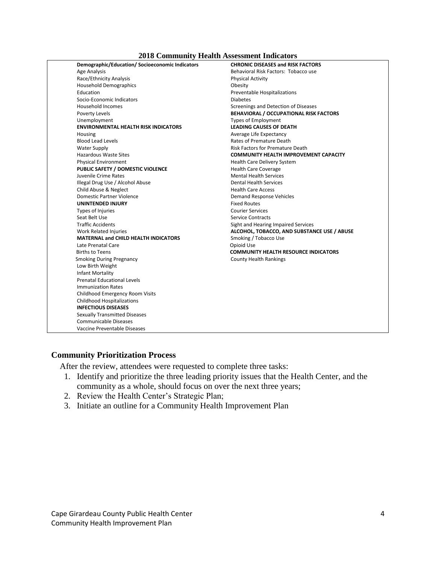#### **2018 Community Health Assessment Indicators**

| Demographic/Education/ Socioeconomic Indicators | <b>CHRONIC DISEASES and RISK FACTORS</b>     |
|-------------------------------------------------|----------------------------------------------|
| <b>Age Analysis</b>                             | Behavioral Risk Factors: Tobacco use         |
| Race/Ethnicity Analysis                         | <b>Physical Activity</b>                     |
| <b>Household Demographics</b>                   | Obesity                                      |
| Education                                       | Preventable Hospitalizations                 |
| Socio-Economic Indicators                       | <b>Diabetes</b>                              |
| Household Incomes                               | Screenings and Detection of Diseases         |
| Poverty Levels                                  | BEHAVIORAL / OCCUPATIONAL RISK FACTORS       |
| Unemployment                                    | <b>Types of Employment</b>                   |
| <b>ENVIRONMENTAL HEALTH RISK INDICATORS</b>     | <b>LEADING CAUSES OF DEATH</b>               |
| Housing                                         | Average Life Expectancy                      |
| <b>Blood Lead Levels</b>                        | Rates of Premature Death                     |
| <b>Water Supply</b>                             | <b>Risk Factors for Premature Death</b>      |
| <b>Hazardous Waste Sites</b>                    | <b>COMMUNITY HEALTH IMPROVEMENT CAPACITY</b> |
| <b>Physical Environment</b>                     | Health Care Delivery System                  |
| PUBLIC SAFETY / DOMESTIC VIOLENCE               | <b>Health Care Coverage</b>                  |
| Juvenile Crime Rates                            | <b>Mental Health Services</b>                |
| Illegal Drug Use / Alcohol Abuse                | <b>Dental Health Services</b>                |
| Child Abuse & Neglect                           | <b>Health Care Access</b>                    |
| <b>Domestic Partner Violence</b>                | <b>Demand Response Vehicles</b>              |
| <b>UNINTENDED INJURY</b>                        | <b>Fixed Routes</b>                          |
| Types of Injuries                               | <b>Courier Services</b>                      |
| Seat Belt Use                                   | <b>Service Contracts</b>                     |
| <b>Traffic Accidents</b>                        | Sight and Hearing Impaired Services          |
| <b>Work Related Injuries</b>                    | ALCOHOL, TOBACCO, AND SUBSTANCE USE / ABUSE  |
| <b>MATERNAL and CHILD HEALTH INDICATORS</b>     | Smoking / Tobacco Use                        |
| Late Prenatal Care                              | Opioid Use                                   |
| <b>Births to Teens</b>                          | <b>COMMUNITY HEALTH RESOURCE INDICATORS</b>  |
| <b>Smoking During Pregnancy</b>                 | <b>County Health Rankings</b>                |
| Low Birth Weight                                |                                              |
| <b>Infant Mortality</b>                         |                                              |
| <b>Prenatal Educational Levels</b>              |                                              |
| <b>Immunization Rates</b>                       |                                              |
| Childhood Emergency Room Visits                 |                                              |
| <b>Childhood Hospitalizations</b>               |                                              |
| <b>INFECTIOUS DISEASES</b>                      |                                              |
| <b>Sexually Transmitted Diseases</b>            |                                              |
| Communicable Diseases                           |                                              |
| Vaccine Preventable Diseases                    |                                              |

#### **Community Prioritization Process**

After the review, attendees were requested to complete three tasks:

- 1. Identify and prioritize the three leading priority issues that the Health Center, and the community as a whole, should focus on over the next three years;
- 2. Review the Health Center's Strategic Plan;
- 3. Initiate an outline for a Community Health Improvement Plan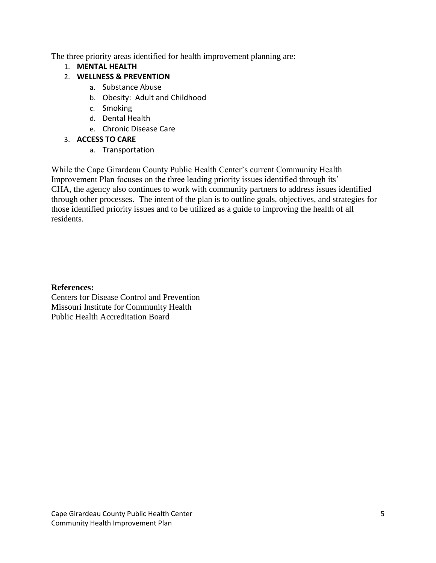The three priority areas identified for health improvement planning are:

## 1. **MENTAL HEALTH**

### 2. **WELLNESS & PREVENTION**

- a. Substance Abuse
- b. Obesity: Adult and Childhood
- c. Smoking
- d. Dental Health
- e. Chronic Disease Care

# 3. **ACCESS TO CARE**

a. Transportation

While the Cape Girardeau County Public Health Center's current Community Health Improvement Plan focuses on the three leading priority issues identified through its' CHA, the agency also continues to work with community partners to address issues identified through other processes. The intent of the plan is to outline goals, objectives, and strategies for those identified priority issues and to be utilized as a guide to improving the health of all residents.

## **References:**

Centers for Disease Control and Prevention Missouri Institute for Community Health Public Health Accreditation Board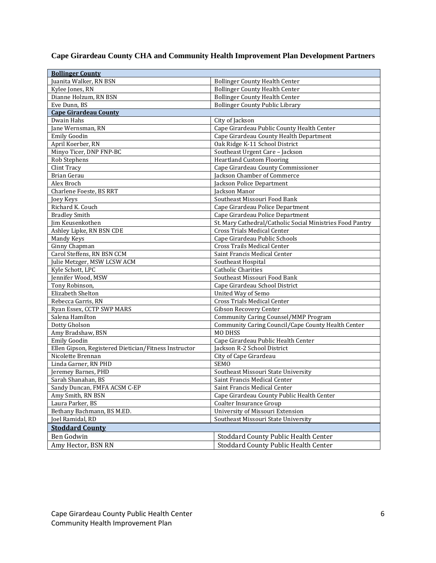# **Cape Girardeau County CHA and Community Health Improvement Plan Development Partners**

| <b>Bollinger County</b>                               |                                                           |
|-------------------------------------------------------|-----------------------------------------------------------|
| Juanita Walker, RN BSN                                | <b>Bollinger County Health Center</b>                     |
| Kylee Jones, RN                                       | <b>Bollinger County Health Center</b>                     |
| Dianne Holzum, RN BSN                                 | <b>Bollinger County Health Center</b>                     |
| Eve Dunn, BS                                          | <b>Bollinger County Public Library</b>                    |
| <b>Cape Girardeau County</b>                          |                                                           |
| Dwain Hahs                                            | City of Jackson                                           |
| Jane Wernsman, RN                                     | Cape Girardeau Public County Health Center                |
| <b>Emily Goodin</b>                                   | Cape Girardeau County Health Department                   |
| April Koerber, RN                                     | Oak Ridge K-11 School District                            |
| Minyo Ticer, DNP FNP-BC                               | Southeast Urgent Care - Jackson                           |
| Rob Stephens                                          | <b>Heartland Custom Flooring</b>                          |
| Clint Tracy                                           | Cape Girardeau County Commissioner                        |
| Brian Gerau                                           | Jackson Chamber of Commerce                               |
| Alex Broch                                            | Jackson Police Department                                 |
| Charlene Foeste, BS RRT                               | Jackson Manor                                             |
| Joey Keys                                             | Southeast Missouri Food Bank                              |
| Richard K. Couch                                      | Cape Girardeau Police Department                          |
| <b>Bradley Smith</b>                                  | Cape Girardeau Police Department                          |
| Jim Keusenkothen                                      | St. Mary Cathedral/Catholic Social Ministries Food Pantry |
| Ashley Lipke, RN BSN CDE                              | <b>Cross Trials Medical Center</b>                        |
| Mandy Keys                                            | Cape Girardeau Public Schools                             |
| Ginny Chapman                                         | <b>Cross Trails Medical Center</b>                        |
| Carol Steffens, RN BSN CCM                            | Saint Francis Medical Center                              |
| Julie Metzger, MSW LCSW ACM                           | Southeast Hospital                                        |
| Kyle Schott, LPC                                      | <b>Catholic Charities</b>                                 |
| Jennifer Wood, MSW                                    | Southeast Missouri Food Bank                              |
| Tony Robinson,                                        | Cape Girardeau School District                            |
| Elizabeth Shelton                                     | United Way of Semo                                        |
| Rebecca Garris, RN                                    | <b>Cross Trials Medical Center</b>                        |
| Ryan Essex, CCTP SWP MARS                             | <b>Gibson Recovery Center</b>                             |
| Salena Hamilton                                       | <b>Community Caring Counsel/MMP Program</b>               |
| Dotty Gholson                                         | Community Caring Council/Cape County Health Center        |
| Amy Bradshaw, BSN                                     | MO DHSS                                                   |
| <b>Emily Goodin</b>                                   | Cape Girardeau Public Health Center                       |
| Ellen Gipson, Registered Dietician/Fitness Instructor | Jackson R-2 School District                               |
| Nicolette Brennan                                     | City of Cape Girardeau                                    |
| Linda Garner, RN PHD                                  | <b>SEMO</b>                                               |
| Jeremey Barnes, PHD                                   | Southeast Missouri State University                       |
| Sarah Shanahan, BS                                    | Saint Francis Medical Center                              |
| Sandy Duncan, FMFA ACSM C-EP                          | Saint Francis Medical Center                              |
| Amy Smith, RN BSN                                     | Cape Girardeau County Public Health Center                |
| Laura Parker, BS                                      | Coalter Insurance Group                                   |
| Bethany Bachmann, BS M.ED.                            | University of Missouri Extension                          |
| Joel Ramidal, RD                                      | Southeast Missouri State University                       |
| <b>Stoddard County</b>                                |                                                           |
|                                                       |                                                           |
| Ben Godwin                                            | Stoddard County Public Health Center                      |
| Amy Hector, BSN RN                                    | Stoddard County Public Health Center                      |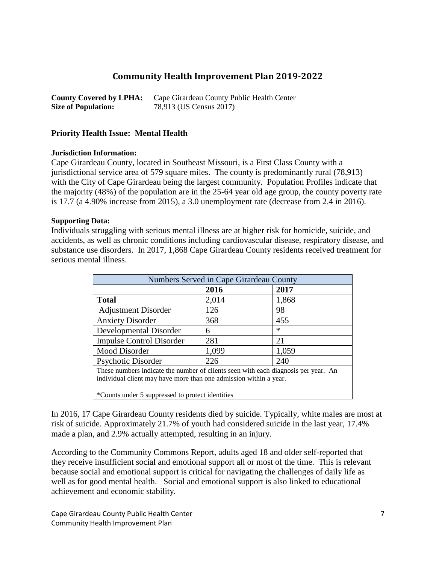# **Community Health Improvement Plan 2019-2022**

| <b>County Covered by LPHA:</b> | Cape Girardeau County Public Health Center |
|--------------------------------|--------------------------------------------|
| <b>Size of Population:</b>     | 78,913 (US Census 2017)                    |

#### **Priority Health Issue: Mental Health**

#### **Jurisdiction Information:**

Cape Girardeau County, located in Southeast Missouri, is a First Class County with a jurisdictional service area of 579 square miles. The county is predominantly rural (78,913) with the City of Cape Girardeau being the largest community. Population Profiles indicate that the majority (48%) of the population are in the 25-64 year old age group, the county poverty rate is 17.7 (a 4.90% increase from 2015), a 3.0 unemployment rate (decrease from 2.4 in 2016).

#### **Supporting Data:**

Individuals struggling with serious mental illness are at higher risk for homicide, suicide, and accidents, as well as chronic conditions including cardiovascular disease, respiratory disease, and substance use disorders. In 2017, 1,868 Cape Girardeau County residents received treatment for serious mental illness.

| Numbers Served in Cape Girardeau County                                                                                                                 |       |       |  |  |  |
|---------------------------------------------------------------------------------------------------------------------------------------------------------|-------|-------|--|--|--|
| 2016<br>2017                                                                                                                                            |       |       |  |  |  |
| <b>Total</b>                                                                                                                                            | 2,014 | 1,868 |  |  |  |
| <b>Adjustment Disorder</b>                                                                                                                              | 126   | 98    |  |  |  |
| <b>Anxiety Disorder</b>                                                                                                                                 | 368   | 455   |  |  |  |
| Developmental Disorder                                                                                                                                  | 6     | ∗     |  |  |  |
| <b>Impulse Control Disorder</b>                                                                                                                         | 281   | 21    |  |  |  |
| Mood Disorder                                                                                                                                           | 1,099 | 1,059 |  |  |  |
| Psychotic Disorder                                                                                                                                      | 226   | 240   |  |  |  |
| These numbers indicate the number of clients seen with each diagnosis per year. An<br>individual client may have more than one admission within a year. |       |       |  |  |  |
| *Counts under 5 suppressed to protect identities                                                                                                        |       |       |  |  |  |

In 2016, 17 Cape Girardeau County residents died by suicide. Typically, white males are most at risk of suicide. Approximately 21.7% of youth had considered suicide in the last year, 17.4% made a plan, and 2.9% actually attempted, resulting in an injury.

According to the Community Commons Report, adults aged 18 and older self-reported that they receive insufficient social and emotional support all or most of the time. This is relevant because social and emotional support is critical for navigating the challenges of daily life as well as for good mental health. Social and emotional support is also linked to educational achievement and economic stability.

Cape Girardeau County Public Health Center 7 Community Health Improvement Plan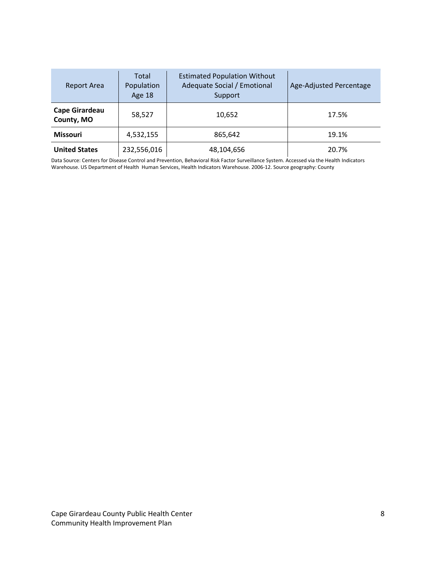| <b>Report Area</b>                  | Total<br>Population<br>Age 18 | <b>Estimated Population Without</b><br>Adequate Social / Emotional<br>Support | Age-Adjusted Percentage |
|-------------------------------------|-------------------------------|-------------------------------------------------------------------------------|-------------------------|
| <b>Cape Girardeau</b><br>County, MO | 58,527                        | 10,652                                                                        | 17.5%                   |
| <b>Missouri</b>                     | 4,532,155                     | 865,642                                                                       | 19.1%                   |
| <b>United States</b>                | 232,556,016                   | 48,104,656                                                                    | 20.7%                   |

Data Source: Centers for Disease Control and Prevention, Behavioral Risk Factor Surveillance System. Accessed via the Health Indicators Warehouse. US Department of Health Human Services, Health Indicators Warehouse. 2006-12. Source geography: County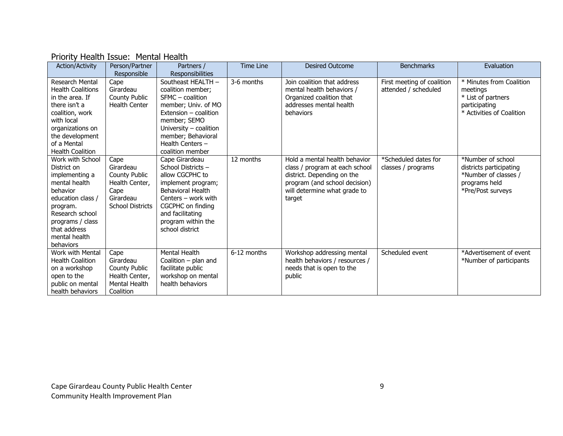| Action/Activity                                                                                                                                                                                          | Person/Partner<br>Responsible                                                                               | Partners /<br><b>Responsibilities</b>                                                                                                                                                                               | <b>Time Line</b> | <b>Desired Outcome</b>                                                                                                                                                   | <b>Benchmarks</b>                                  | Evaluation                                                                                                 |
|----------------------------------------------------------------------------------------------------------------------------------------------------------------------------------------------------------|-------------------------------------------------------------------------------------------------------------|---------------------------------------------------------------------------------------------------------------------------------------------------------------------------------------------------------------------|------------------|--------------------------------------------------------------------------------------------------------------------------------------------------------------------------|----------------------------------------------------|------------------------------------------------------------------------------------------------------------|
| <b>Research Mental</b><br><b>Health Coalitions</b><br>in the area. If<br>there isn't a<br>coalition, work<br>with local<br>organizations on<br>the development<br>of a Mental<br><b>Health Coalition</b> | Cape<br>Girardeau<br><b>County Public</b><br><b>Health Center</b>                                           | Southeast HEALTH -<br>coalition member;<br>SFMC - coalition<br>member; Univ. of MO<br>Extension - coalition<br>member; SEMO<br>University - coalition<br>member; Behavioral<br>Health Centers -<br>coalition member | 3-6 months       | Join coalition that address<br>mental health behaviors /<br>Organized coalition that<br>addresses mental health<br>behaviors                                             | First meeting of coalition<br>attended / scheduled | * Minutes from Coalition<br>meetings<br>* List of partners<br>participating<br>* Activities of Coalition   |
| Work with School<br>District on<br>implementing a<br>mental health<br>behavior<br>education class /<br>program.<br>Research school<br>programs / class<br>that address<br>mental health<br>behaviors     | Cape<br>Girardeau<br><b>County Public</b><br>Health Center,<br>Cape<br>Girardeau<br><b>School Districts</b> | Cape Girardeau<br>School Districts -<br>allow CGCPHC to<br>implement program;<br><b>Behavioral Health</b><br>Centers - work with<br>CGCPHC on finding<br>and facilitating<br>program within the<br>school district  | 12 months        | Hold a mental health behavior<br>class / program at each school<br>district. Depending on the<br>program (and school decision)<br>will determine what grade to<br>target | *Scheduled dates for<br>classes / programs         | *Number of school<br>districts participating<br>*Number of classes /<br>programs held<br>*Pre/Post surveys |
| Work with Mental<br><b>Health Coalition</b><br>on a workshop<br>open to the<br>public on mental<br>health behaviors                                                                                      | Cape<br>Girardeau<br>County Public<br>Health Center,<br>Mental Health<br>Coalition                          | Mental Health<br>Coalition $-$ plan and<br>facilitate public<br>workshop on mental<br>health behaviors                                                                                                              | 6-12 months      | Workshop addressing mental<br>health behaviors / resources /<br>needs that is open to the<br>public                                                                      | Scheduled event                                    | *Advertisement of event<br>*Number of participants                                                         |

# Priority Health Issue: Mental Health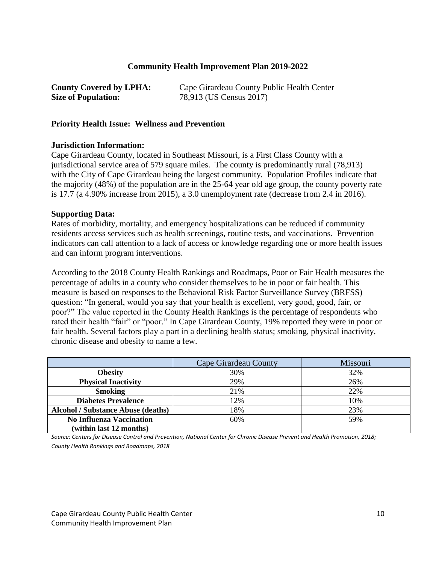### **Community Health Improvement Plan 2019-2022**

| <b>County Covered by LPHA:</b> | Cape Girardeau County Public Health Center |
|--------------------------------|--------------------------------------------|
| <b>Size of Population:</b>     | 78,913 (US Census 2017)                    |

#### **Priority Health Issue: Wellness and Prevention**

#### **Jurisdiction Information:**

Cape Girardeau County, located in Southeast Missouri, is a First Class County with a jurisdictional service area of 579 square miles. The county is predominantly rural (78,913) with the City of Cape Girardeau being the largest community. Population Profiles indicate that the majority (48%) of the population are in the 25-64 year old age group, the county poverty rate is 17.7 (a 4.90% increase from 2015), a 3.0 unemployment rate (decrease from 2.4 in 2016).

#### **Supporting Data:**

Rates of morbidity, mortality, and emergency hospitalizations can be reduced if community residents access services such as health screenings, routine tests, and vaccinations. Prevention indicators can call attention to a lack of access or knowledge regarding one or more health issues and can inform program interventions.

According to the 2018 County Health Rankings and Roadmaps, Poor or Fair Health measures the percentage of adults in a county who consider themselves to be in poor or fair health. This measure is based on responses to the Behavioral Risk Factor Surveillance Survey (BRFSS) question: "In general, would you say that your health is excellent, very good, good, fair, or poor?" The value reported in the County Health Rankings is the percentage of respondents who rated their health "fair" or "poor." In Cape Girardeau County, 19% reported they were in poor or fair health. Several factors play a part in a declining health status; smoking, physical inactivity, chronic disease and obesity to name a few.

|                                           | Cape Girardeau County | Missouri |
|-------------------------------------------|-----------------------|----------|
| <b>Obesity</b>                            | 30%                   | 32%      |
| <b>Physical Inactivity</b>                | 29%                   | 26%      |
| <b>Smoking</b>                            | 21%                   | 22%      |
| <b>Diabetes Prevalence</b>                | 12%                   | 10%      |
| <b>Alcohol / Substance Abuse (deaths)</b> | 18%                   | 23%      |
| <b>No Influenza Vaccination</b>           | 60%                   | 59%      |
| (within last 12 months)                   |                       |          |

*Source: Centers for Disease Control and Prevention, National Center for Chronic Disease Prevent and Health Promotion, 2018; County Health Rankings and Roadmaps, 2018*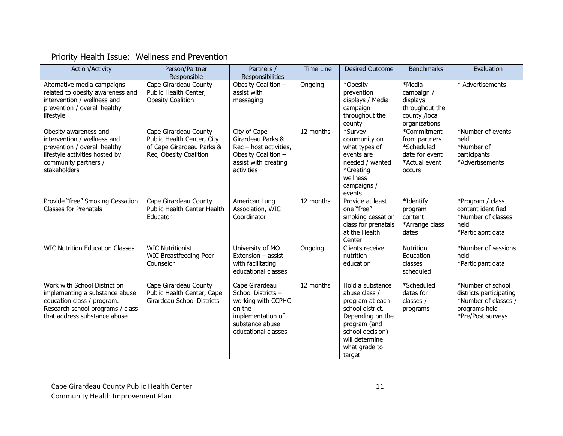# Priority Health Issue: Wellness and Prevention

| Action/Activity                                                                                                                                                  | Person/Partner<br>Responsible                                                                              | Partners /<br>Responsibilities                                                                                                     | <b>Time Line</b> | <b>Desired Outcome</b>                                                                                                                                                        | <b>Benchmarks</b>                                                                              | Evaluation                                                                                                 |
|------------------------------------------------------------------------------------------------------------------------------------------------------------------|------------------------------------------------------------------------------------------------------------|------------------------------------------------------------------------------------------------------------------------------------|------------------|-------------------------------------------------------------------------------------------------------------------------------------------------------------------------------|------------------------------------------------------------------------------------------------|------------------------------------------------------------------------------------------------------------|
| Alternative media campaigns<br>related to obesity awareness and<br>intervention / wellness and<br>prevention / overall healthy<br>lifestyle                      | Cape Girardeau County<br>Public Health Center,<br><b>Obesity Coalition</b>                                 | Obesity Coalition -<br>assist with<br>messaging                                                                                    | Ongoing          | *Obesity<br>prevention<br>displays / Media<br>campaign<br>throughout the<br>county                                                                                            | *Media<br>campaign /<br>displays<br>throughout the<br>county /local<br>organizations           | * Advertisements                                                                                           |
| Obesity awareness and<br>intervention / wellness and<br>prevention / overall healthy<br>lifestyle activities hosted by<br>community partners /<br>stakeholders   | Cape Girardeau County<br>Public Health Center, City<br>of Cape Girardeau Parks &<br>Rec, Obesity Coalition | City of Cape<br>Girardeau Parks &<br>Rec - host activities,<br>Obesity Coalition -<br>assist with creating<br>activities           | 12 months        | *Survey<br>community on<br>what types of<br>events are<br>needed / wanted<br>*Creating<br>wellness<br>campaigns /<br>events                                                   | *Commitment<br>from partners<br>*Scheduled<br>date for event<br>*Actual event<br><b>occurs</b> | *Number of events<br>held<br>*Number of<br>participants<br>*Advertisements                                 |
| Provide "free" Smoking Cessation<br><b>Classes for Prenatals</b>                                                                                                 | Cape Girardeau County<br><b>Public Health Center Health</b><br>Educator                                    | American Lung<br>Association, WIC<br>Coordinator                                                                                   | 12 months        | Provide at least<br>one "free"<br>smoking cessation<br>class for prenatals<br>at the Health<br>Center                                                                         | *Identify<br>program<br>content<br>*Arrange class<br>dates                                     | *Program / class<br>content identified<br>*Number of classes<br>held<br>*Particiapnt data                  |
| <b>WIC Nutrition Education Classes</b>                                                                                                                           | <b>WIC Nutritionist</b><br><b>WIC Breastfeeding Peer</b><br>Counselor                                      | University of MO<br>Extension - assist<br>with facilitating<br>educational classes                                                 | Ongoing          | Clients receive<br>nutrition<br>education                                                                                                                                     | <b>Nutrition</b><br>Education<br>classes<br>scheduled                                          | *Number of sessions<br>held<br>*Participant data                                                           |
| Work with School District on<br>implementing a substance abuse<br>education class / program.<br>Research school programs / class<br>that address substance abuse | Cape Girardeau County<br>Public Health Center, Cape<br>Girardeau School Districts                          | Cape Girardeau<br>School Districts-<br>working with CCPHC<br>on the<br>implementation of<br>substance abuse<br>educational classes | 12 months        | Hold a substance<br>abuse class /<br>program at each<br>school district.<br>Depending on the<br>program (and<br>school decision)<br>will determine<br>what grade to<br>target | *Scheduled<br>dates for<br>classes /<br>programs                                               | *Number of school<br>districts participating<br>*Number of classes /<br>programs held<br>*Pre/Post surveys |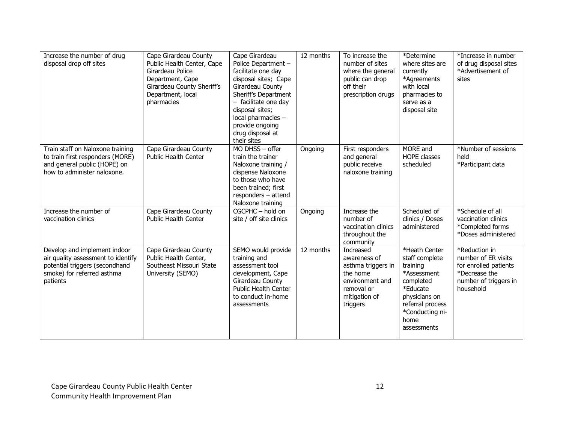| Increase the number of drug<br>disposal drop off sites                                                                                         | Cape Girardeau County<br>Public Health Center, Cape<br>Girardeau Police<br>Department, Cape<br>Girardeau County Sheriff's<br>Department, local<br>pharmacies | Cape Girardeau<br>Police Department -<br>facilitate one day<br>disposal sites; Cape<br>Girardeau County<br>Sheriff's Department<br>- facilitate one day<br>disposal sites;<br>local pharmacies -<br>provide ongoing<br>drug disposal at<br>their sites | 12 months | To increase the<br>number of sites<br>where the general<br>public can drop<br>off their<br>prescription drugs                    | *Determine<br>where sites are<br>currently<br>*Agreements<br>with local<br>pharmacies to<br>serve as a<br>disposal site                                            | *Increase in number<br>of drug disposal sites<br>*Advertisement of<br>sites                                          |
|------------------------------------------------------------------------------------------------------------------------------------------------|--------------------------------------------------------------------------------------------------------------------------------------------------------------|--------------------------------------------------------------------------------------------------------------------------------------------------------------------------------------------------------------------------------------------------------|-----------|----------------------------------------------------------------------------------------------------------------------------------|--------------------------------------------------------------------------------------------------------------------------------------------------------------------|----------------------------------------------------------------------------------------------------------------------|
| Train staff on Naloxone training<br>to train first responders (MORE)<br>and general public (HOPE) on<br>how to administer naloxone.            | Cape Girardeau County<br>Public Health Center                                                                                                                | MO DHSS - offer<br>train the trainer<br>Naloxone training /<br>dispense Naloxone<br>to those who have<br>been trained; first<br>responders - attend<br>Naloxone training                                                                               | Ongoing   | First responders<br>and general<br>public receive<br>naloxone training                                                           | MORE and<br><b>HOPE classes</b><br>scheduled                                                                                                                       | *Number of sessions<br>held<br>*Participant data                                                                     |
| Increase the number of<br>vaccination clinics                                                                                                  | Cape Girardeau County<br><b>Public Health Center</b>                                                                                                         | $CGCPHC - hold$ on<br>site / off site clinics                                                                                                                                                                                                          | Ongoing   | Increase the<br>number of<br>vaccination clinics<br>throughout the<br>community                                                  | Scheduled of<br>clinics / Doses<br>administered                                                                                                                    | *Schedule of all<br>vaccination clinics<br>*Completed forms<br>*Doses administered                                   |
| Develop and implement indoor<br>air quality assessment to identify<br>potential triggers (secondhand<br>smoke) for referred asthma<br>patients | Cape Girardeau County<br>Public Health Center,<br>Southeast Missouri State<br>University (SEMO)                                                              | SEMO would provide<br>training and<br>assessment tool<br>development, Cape<br>Girardeau County<br>Public Health Center<br>to conduct in-home<br>assessments                                                                                            | 12 months | <b>Increased</b><br>awareness of<br>asthma triggers in<br>the home<br>environment and<br>removal or<br>mitigation of<br>triggers | *Heath Center<br>staff complete<br>training<br>*Assessment<br>completed<br>*Educate<br>physicians on<br>referral process<br>*Conducting ni-<br>home<br>assessments | *Reduction in<br>number of ER visits<br>for enrolled patients<br>*Decrease the<br>number of triggers in<br>household |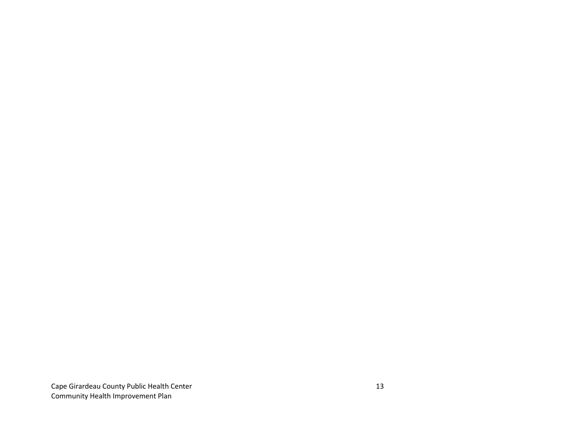Cape Girardeau County Public Health Center 13 and 200 minutes of the 13 and 23 and 23 and 23 and 23 and 23 and 23 and 23 and 23 and 23 and 23 and 23 and 23 and 23 and 23 and 23 and 23 and 23 and 23 and 23 and 23 and 23 and Community Health Improvement Plan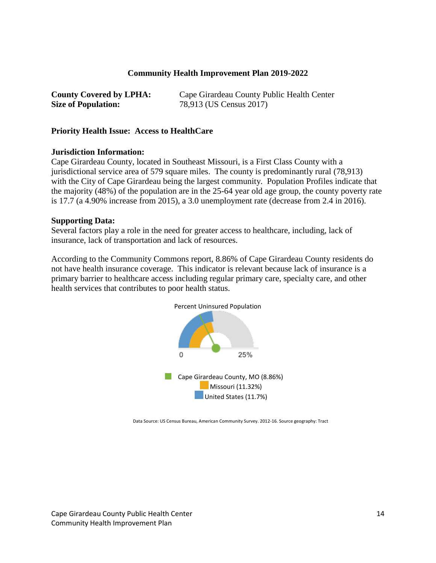#### **Community Health Improvement Plan 2019-2022**

| <b>County Covered by LPHA:</b> | Cape Girardeau County Public Health Center |
|--------------------------------|--------------------------------------------|
| <b>Size of Population:</b>     | 78,913 (US Census 2017)                    |

#### **Priority Health Issue: Access to HealthCare**

#### **Jurisdiction Information:**

Cape Girardeau County, located in Southeast Missouri, is a First Class County with a jurisdictional service area of 579 square miles. The county is predominantly rural (78,913) with the City of Cape Girardeau being the largest community. Population Profiles indicate that the majority (48%) of the population are in the 25-64 year old age group, the county poverty rate is 17.7 (a 4.90% increase from 2015), a 3.0 unemployment rate (decrease from 2.4 in 2016).

#### **Supporting Data:**

Several factors play a role in the need for greater access to healthcare, including, lack of insurance, lack of transportation and lack of resources.

According to the Community Commons report, 8.86% of Cape Girardeau County residents do not have health insurance coverage. This indicator is relevant because lack of insurance is a primary barrier to healthcare access including regular primary care, specialty care, and other health services that contributes to poor health status.



Data Source: US Census Bureau, American Community Survey. 2012-16. Source geography: Tract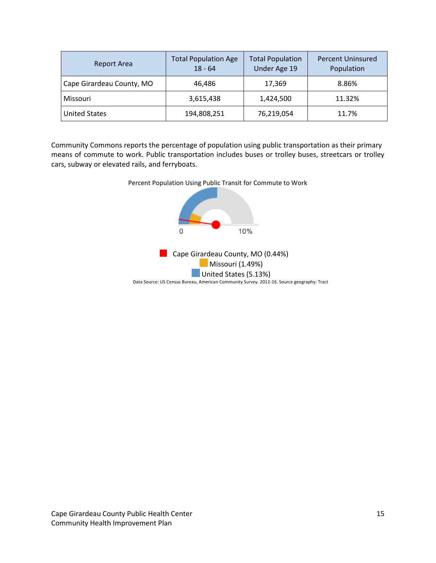| <b>Report Area</b>        | <b>Total Population Age</b><br>$18 - 64$ | <b>Total Population</b><br>Under Age 19 | <b>Percent Uninsured</b><br>Population |
|---------------------------|------------------------------------------|-----------------------------------------|----------------------------------------|
| Cape Girardeau County, MO | 46.486                                   | 17,369                                  | 8.86%                                  |
| Missouri                  | 3,615,438                                | 1,424,500                               | 11.32%                                 |
| <b>United States</b>      | 194,808,251                              | 76,219,054                              | 11.7%                                  |

Community Commons reports the percentage of population using public transportation as their primary means of commute to work. Public transportation includes buses or trolley buses, streetcars or trolley cars, subway or elevated rails, and ferryboats.